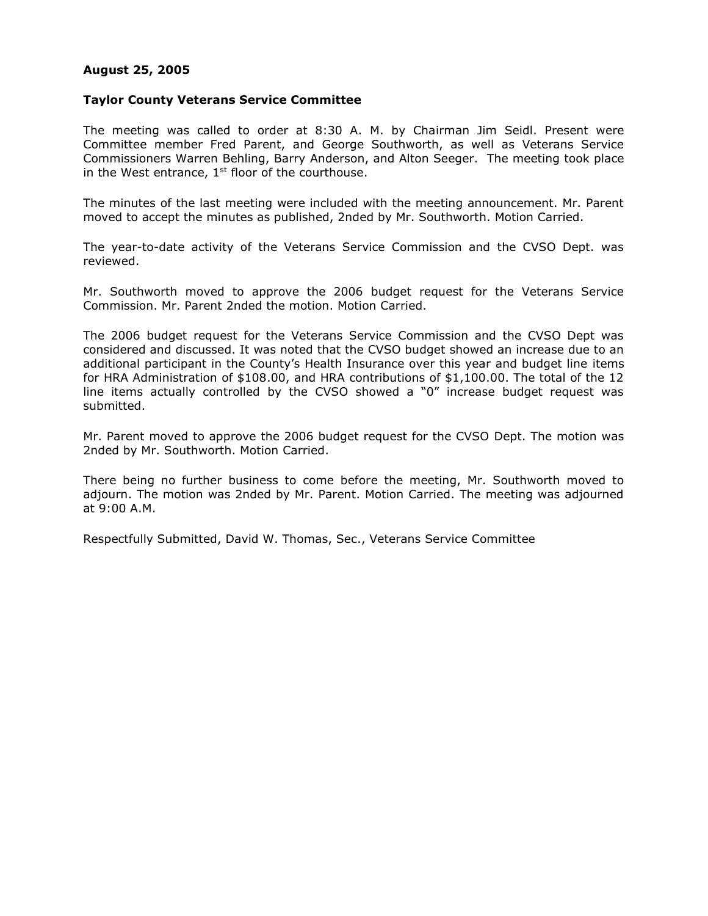## **August 25, 2005**

## **Taylor County Veterans Service Committee**

The meeting was called to order at 8:30 A. M. by Chairman Jim Seidl. Present were Committee member Fred Parent, and George Southworth, as well as Veterans Service Commissioners Warren Behling, Barry Anderson, and Alton Seeger. The meeting took place in the West entrance,  $1<sup>st</sup>$  floor of the courthouse.

The minutes of the last meeting were included with the meeting announcement. Mr. Parent moved to accept the minutes as published, 2nded by Mr. Southworth. Motion Carried.

The year-to-date activity of the Veterans Service Commission and the CVSO Dept. was reviewed.

Mr. Southworth moved to approve the 2006 budget request for the Veterans Service Commission. Mr. Parent 2nded the motion. Motion Carried.

The 2006 budget request for the Veterans Service Commission and the CVSO Dept was considered and discussed. It was noted that the CVSO budget showed an increase due to an additional participant in the County's Health Insurance over this year and budget line items for HRA Administration of \$108.00, and HRA contributions of \$1,100.00. The total of the 12 line items actually controlled by the CVSO showed a "0" increase budget request was submitted.

Mr. Parent moved to approve the 2006 budget request for the CVSO Dept. The motion was 2nded by Mr. Southworth. Motion Carried.

There being no further business to come before the meeting, Mr. Southworth moved to adjourn. The motion was 2nded by Mr. Parent. Motion Carried. The meeting was adjourned at 9:00 A.M.

Respectfully Submitted, David W. Thomas, Sec., Veterans Service Committee